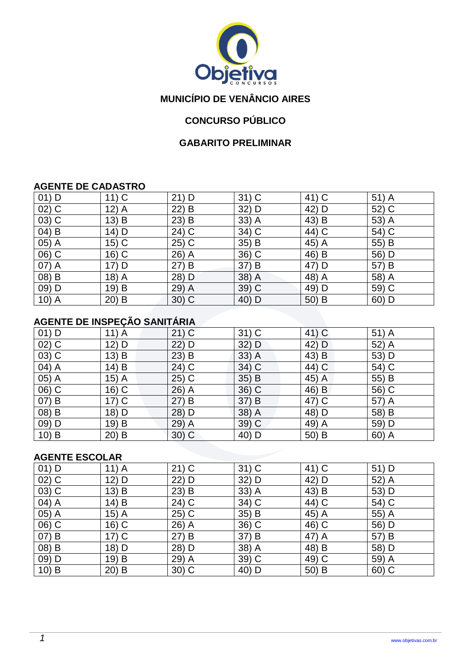

# **MUNICÍPIO DE VENÂNCIO AIRES**

# **CONCURSO PÚBLICO**

## **GABARITO PRELIMINAR**

#### **AGENTE DE CADASTRO**

| $01)$ D  | $11)$ C | $21)$ D  | $31)$ C | 41) C   | $51)$ A |
|----------|---------|----------|---------|---------|---------|
| $02)$ C  | $12)$ A | 22)<br>B | 32) D   | 42) D   | 52) C   |
| $(03)$ C | 13) B   | $23)$ B  | $33)$ A | 43) B   | 53) A   |
| 04) B    | $14)$ D | 24) C    | 34) C   | 44) C   | 54) C   |
| $05)$ A  | $15)$ C | $25)$ C  | 35) B   | 45) A   | 55) B   |
| 06) C    | $16)$ C | 26) A    | 36) C   | 46) B   | 56) D   |
| 07) A    | $17)$ D | 27) B    | 37) B   | 47) D   | 57) B   |
| 08) B    | 18) A   | 28) D    | 38) A   | 48) A   | 58) A   |
| 09) D    | 19) B   | 29) A    | 39) C   | 49) D   | 59) C   |
| $10)$ A  | $20)$ B | 30) C    | 40) D   | $50)$ B | 60) D   |

# **AGENTE DE INSPEÇÃO SANITÁRIA**

| $01)$ D | $11)$ A | $21)$ C | $31)$ C | 41) C              | 51) A |
|---------|---------|---------|---------|--------------------|-------|
| $02)$ C | 12) D   | 22) D   | $32)$ D | 42) D              | 52) A |
| $03)$ C | 13) B   | $23)$ B | $33)$ A | 43) B              | 53) D |
| $04)$ A | 14) B   | 24) C   | 34) C   | 44) C              | 54) C |
| 05) A   | $15)$ A | $25)$ C | 35) B   | 45) $\overline{A}$ | 55) B |
| 06) C   | $16)$ C | $26)$ A | $36)$ C | 46) B              | 56) C |
| $07)$ B | $17)$ C | 27) B   | 37) B   | 47) C              | 57) A |
| 08) B   | 18) D   | 28) D   | 38) A   | 48) D              | 58) B |
| 09) D   | 19) B   | 29) A   | $39)$ C | 49) A              | 59) D |
| $10)$ B | $20)$ B | 30) C   | 40) D   | 50) B              | 60) A |

#### **AGENTE ESCOLAR**

| $01)$ D | $11)$ A | $21)$ C             | $31)$ C | 41) C | $51)$ D |
|---------|---------|---------------------|---------|-------|---------|
| $02)$ C | 12) D   | 22) D               | 32) D   | 42) D | 52) A   |
| $03)$ C | $13)$ B | $23)$ B             | $33)$ A | 43) B | 53) D   |
| 04) A   | 14) B   | 24) C               | 34) C   | 44) C | 54) C   |
| $05)$ A | $15)$ A | 25) C               | 35) B   | 45) A | 55) A   |
| 06) C   | 16) C   | 26)<br>$\mathsf{A}$ | 36) C   | 46) C | 56) D   |
| $07)$ B | $17)$ C | 27) B               | 37) B   | 47) A | 57) B   |
| 08) B   | 18) D   | 28) D               | 38) A   | 48) B | 58) D   |
| 09) D   | 19) B   | 29) A               | 39) C   | 49) C | 59) A   |
| $10)$ B | $20)$ B | $30)$ C             | 40) D   | 50) B | $60)$ C |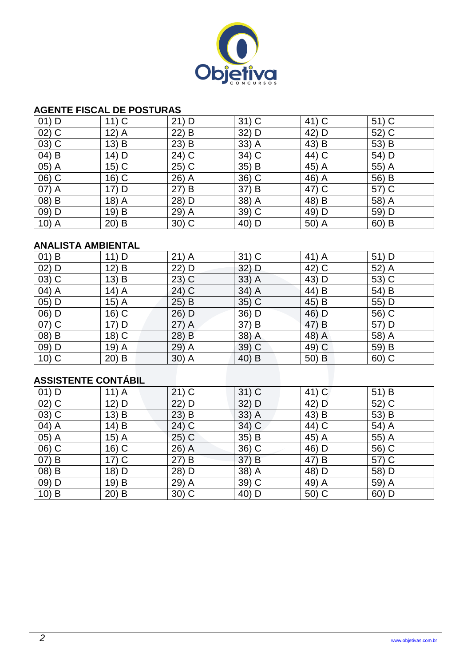

### **AGENTE FISCAL DE POSTURAS**

| $01)$ D  | $11)$ C | $21)$ D  | $31)$ C | 41) C | $51)$ C |
|----------|---------|----------|---------|-------|---------|
| $02)$ C  | $12)$ A | $22)$ B  | 32) D   | 42) D | 52) C   |
| $(03)$ C | 13) B   | B<br>23) | $33)$ A | 43) B | 53) B   |
| $(04)$ B | $14)$ D | 24) C    | 34) C   | 44) C | 54) D   |
| 05) A    | $15)$ C | $25)$ C  | 35) B   | 45) A | 55) A   |
| 06) C    | $16)$ C | 26) A    | 36) C   | 46) A | 56) B   |
| 07) A    | 17) D   | 27) B    | 37) B   | 47) C | 57) C   |
| 08) B    | $18)$ A | 28) D    | 38) A   | 48) B | 58) A   |
| 09) D    | 19) B   | 29) A    | 39) C   | 49) D | 59) D   |
| $10)$ A  | $20)$ B | 30) C    | 40) D   | 50) A | $60)$ B |

## **ANALISTA AMBIENTAL**

| $01)$ B | 11) D                      | $21)$ A | $31)$ C | 41) A    | 51) D |  |  |  |
|---------|----------------------------|---------|---------|----------|-------|--|--|--|
| $02)$ D | 12) B                      | 22) D   | 32) D   | 42) C    | 52) A |  |  |  |
| $03)$ C | 13) B                      | $23)$ C | $33)$ A | 43) D    | 53) C |  |  |  |
| 04) A   | $14)$ A                    | 24) C   | 34) A   | $(44)$ B | 54) B |  |  |  |
| 05) D   | 15) A                      | $25)$ B | $35)$ C | 45) B    | 55) D |  |  |  |
| 06) D   | 16) C                      | 26) D   | 36) D   | 46) D    | 56) C |  |  |  |
| $07)$ C | 17) D                      | $27)$ A | 37) B   | 47) B    | 57) D |  |  |  |
| 08) B   | 18) C                      | 28) B   | 38) A   | 48) A    | 58) A |  |  |  |
| 09) D   | 19) A                      | 29) A   | $39)$ C | 49) C    | 59) B |  |  |  |
| $10)$ C | $20)$ B                    | $30)$ A | 40) B   | 50) B    | 60) C |  |  |  |
|         |                            |         |         |          |       |  |  |  |
|         | <b>ASSISTENTE CONTÁBIL</b> |         |         |          |       |  |  |  |

# **ASSISTENTE CONTÁBIL**

| $01)$ D            | $11)$ A | $21)$ C | $31)$ C | $41)$ C | 51) B |
|--------------------|---------|---------|---------|---------|-------|
| $02)$ C            | 12) D   | $22)$ D | $32)$ D | 42) D   | 52) C |
| $(03)\overline{C}$ | 13) B   | $23)$ B | $33)$ A | 43) B   | 53) B |
| 04) A              | 14) B   | $24)$ C | 34) C   | 44) C   | 54) A |
| 05) A              | $15)$ A | $25)$ C | $35)$ B | 45) A   | 55) A |
| 06) C              | 16) C   | 26) A   | 36) C   | 46) D   | 56) C |
| $07)$ B            | $17)$ C | 27) B   | 37) B   | 47) B   | 57) C |
| 08) B              | 18) D   | 28) D   | 38) A   | 48) D   | 58) D |
| 09) D              | 19) B   | 29) A   | 39) C   | 49) A   | 59) A |
| $10)$ B            | $20)$ B | $30)$ C | 40) D   | 50) C   | 60) D |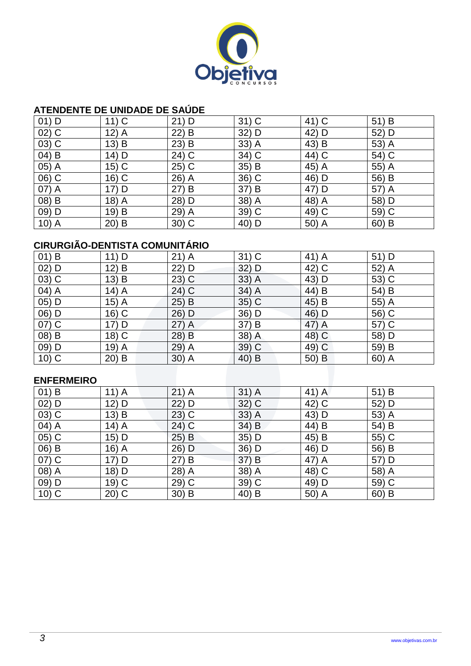

### **ATENDENTE DE UNIDADE DE SAÚDE**

| $01)$ D  | $11)$ C | $21)$ D  | $31)$ C | 41) C | 51) B   |
|----------|---------|----------|---------|-------|---------|
| $02)$ C  | $12)$ A | 22)<br>B | 32) D   | 42) D | 52) D   |
| $(03)$ C | 13) B   | 23)<br>B | $33)$ A | 43) B | 53) A   |
| 04) B    | $14)$ D | 24) C    | 34) C   | 44) C | 54) C   |
| $05)$ A  | $15)$ C | $25)$ C  | 35) B   | 45) A | 55) A   |
| 06) C    | $16)$ C | 26) A    | 36) C   | 46) D | 56) B   |
| 07) A    | $17)$ D | 27) B    | 37) B   | 47) D | 57) A   |
| 08) B    | $18)$ A | 28) D    | 38) A   | 48) A | 58) D   |
| 09) D    | 19) B   | 29) A    | 39) C   | 49) C | 59) C   |
| $10)$ A  | $20)$ B | $30)$ C  | 40) D   | 50) A | $60)$ B |

## **CIRURGIÃO-DENTISTA COMUNITÁRIO**

| $01)$ B | $11)$ D | $21)$ A | $31)$ C | 41) A | 51) D |
|---------|---------|---------|---------|-------|-------|
| $02)$ D | $12)$ B | 22) D   | $32)$ D | 42) C | 52) A |
| $03)$ C | $13)$ B | $23)$ C | $33)$ A | 43) D | 53) C |
| 04) A   | $14)$ A | 24) C   | 34) A   | 44) B | 54) B |
| 05) D   | $15)$ A | $25)$ B | 35) C   | 45) B | 55) A |
| 06) D   | 16) C   | 26) D   | 36) D   | 46) D | 56) C |
| 07) C   | $17)$ D | $27)$ A | 37) B   | 47) A | 57) C |
| 08) B   | 18) C   | 28) B   | 38) A   | 48) C | 58) D |
| 09) D   | 19) A   | 29) A   | $39)$ C | 49) C | 59) B |
| $10)$ C | $20)$ B | $30)$ A | 40) B   | 50) B | 60) A |

#### **ENFERMEIRO**

| $01)$ B                        | $11)$ A | $21)$ A | $31)$ A | 41) A | 51) B   |
|--------------------------------|---------|---------|---------|-------|---------|
| $02)$ D                        | 12) D   | 22) D   | $32)$ C | 42) C | 52) D   |
| $03)$ C                        | $13)$ B | $23)$ C | $33)$ A | 43) D | 53) A   |
| $\overline{04}$ $\overline{A}$ | $14)$ A | $24)$ C | 34) B   | 44) B | 54) B   |
| $(05)$ C                       | 15) D   | $25)$ B | 35) D   | 45) B | 55) C   |
| 06) B                          | $16)$ A | 26) D   | 36) D   | 46) D | 56) B   |
| 07) C                          | 17) D   | 27) B   | 37) B   | 47) A | 57) D   |
| 08) A                          | 18) D   | 28) A   | 38) A   | 48) C | 58) A   |
| 09) D                          | $19)$ C | 29) C   | 39) C   | 49) D | 59) C   |
| $10)$ C                        | $20)$ C | $30)$ B | 40) B   | 50) A | $60)$ B |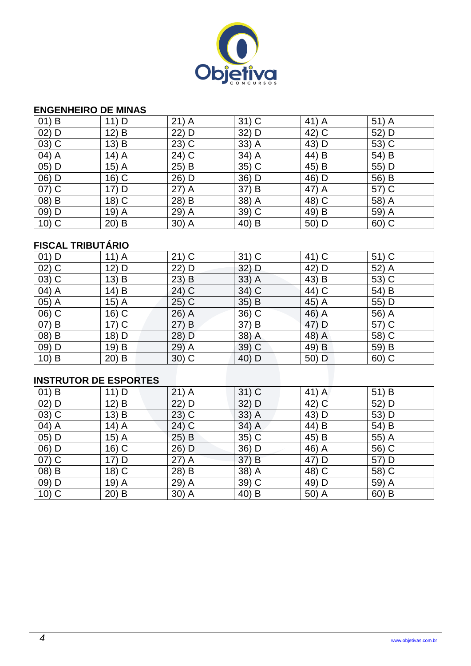

#### **ENGENHEIRO DE MINAS**

| $01)$ B  | 11) D   | $21)$ A  | $31)$ C | 41) A | $51)$ A |
|----------|---------|----------|---------|-------|---------|
| $02)$ D  | 12) B   | 22) D    | 32) D   | 42) C | 52) D   |
| $(03)$ C | 13) B   | $23)$ C  | $33)$ A | 43) D | 53) C   |
| 04) A    | $14)$ A | 24) C    | 34) A   | 44) B | 54) B   |
| 05) D    | $15)$ A | 25) B    | 35) C   | 45) B | 55) D   |
| 06) D    | $16)$ C | 26) D    | 36) D   | 46) D | 56) B   |
| 07) C    | $17)$ D | $27)$ A  | 37) B   | 47) A | 57) C   |
| 08) B    | 18) C   | B<br>28) | 38) A   | 48) C | 58) A   |
| 09) D    | $19)$ A | 29) A    | 39) C   | 49) B | 59) A   |
| $10)$ C  | $20)$ B | $30)$ A  | 40) B   | 50) D | 60) C   |

## **FISCAL TRIBUTÁRIO**

| $01)$ D | $11)$ A                | $21)$ C   | $31)$ C | 41) C | $51)$ C |  |  |  |
|---------|------------------------|-----------|---------|-------|---------|--|--|--|
| $02)$ C | 12) D                  | 22) D     | $32)$ D | 42) D | 52) A   |  |  |  |
| $03)$ C | 13) B                  | $23)$ B   | $33)$ A | 43) B | 53) C   |  |  |  |
| 04) A   | 14) B                  | 24) C     | 34) C   | 44) C | 54) B   |  |  |  |
| 05) A   | $15)$ A                | $25)$ C   | $35)$ B | 45) A | 55) D   |  |  |  |
| 06) C   | 16) C                  | 26) A     | 36) C   | 46) A | 56) A   |  |  |  |
| 07) B   | $17)$ C                | (27)<br>B | 37) B   | 47) D | 57) C   |  |  |  |
| 08) B   | 18) D                  | 28) D     | 38) A   | 48) A | 58) C   |  |  |  |
| 09) D   | 19) B                  | 29) A     | $39)$ C | 49) B | 59) B   |  |  |  |
| $10)$ B | $20)$ B                | $30)$ C   | 40) D   | 50) D | 60) C   |  |  |  |
|         |                        |           |         |       |         |  |  |  |
|         | INSTRIITOR DE ESPORTES |           |         |       |         |  |  |  |

## **INSTRUTOR DE ESPORTES**

| $01)$ B | $11)$ D | $21)$ A | $31)$ C | 41) A | 51) B   |
|---------|---------|---------|---------|-------|---------|
| $02)$ D | 12) B   | $22)$ D | $32)$ D | 42) C | 52) D   |
| $03)$ C | $13)$ B | $23)$ C | $33)$ A | 43) D | 53) D   |
| 04) A   | $14)$ A | $24)$ C | $34)$ A | 44) B | 54) B   |
| 05) D   | $15)$ A | 25) B   | $35)$ C | 45) B | 55) A   |
| 06) D   | 16) C   | 26) D   | 36) D   | 46) A | 56) C   |
| 07) C   | 17) D   | $27)$ A | 37) B   | 47) D | 57) D   |
| 08) B   | 18) C   | 28) B   | 38) A   | 48) C | 58) C   |
| 09) D   | $19)$ A | 29) A   | $39)$ C | 49) D | 59) A   |
| $10)$ C | $20)$ B | $30)$ A | 40) B   | 50) A | $60)$ B |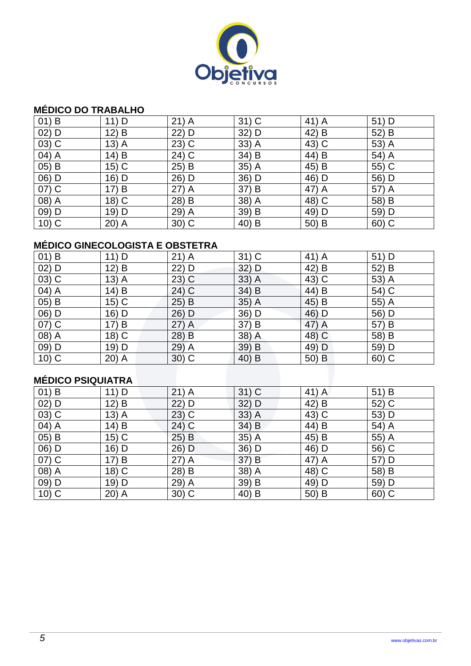

### **MÉDICO DO TRABALHO**

| $01)$ B  | $11)$ D | $21)$ A  | $31)$ C | 41) A | $51)$ D |
|----------|---------|----------|---------|-------|---------|
| $02)$ D  | $12)$ B | 22) D    | 32) D   | 42) B | 52) B   |
| 03) C    | $13)$ A | $23)$ C  | $33)$ A | 43) C | 53) A   |
| 04) A    | 14) B   | 24) C    | 34) B   | 44) B | 54) A   |
| $(05)$ B | $15)$ C | 25) B    | 35) A   | 45) B | 55) C   |
| 06) D    | 16) D   | 26) D    | 36) D   | 46) D | 56) D   |
| $07)$ C  | 17) B   | $27)$ A  | 37) B   | 47) A | 57) A   |
| 08) A    | 18) C   | 28) B    | 38) A   | 48) C | 58) B   |
| 09) D    | 19) D   | 29)<br>A | 39) B   | 49) D | 59) D   |
| $10)$ C  | $20)$ A | $30)$ C  | 40) B   | 50) B | 60) C   |

# **MÉDICO GINECOLOGISTA E OBSTETRA**

| $01)$ B            | $11)$ D | $21)$ A  | $31)$ C | 41) A    | 51) D |
|--------------------|---------|----------|---------|----------|-------|
| $02)$ D            | $12)$ B | 22) D    | $32)$ D | 42) B    | 52) B |
| $03)$ C            | $13)$ A | $23)$ C  | $33)$ A | 43) C    | 53) A |
| 04) A              | 14) B   | 24) C    | 34) B   | $(44)$ B | 54) C |
| $05)$ B            | $15)$ C | $25)$ B  | $35)$ A | 45) B    | 55) A |
| 06) D              | 16) D   | 26) D    | 36) D   | 46) D    | 56) D |
| $07)$ C            | 17) B   | $27)$ A  | 37) B   | 47) A    | 57) B |
| $(08)\overline{A}$ | 18) C   | B<br>28) | 38) A   | 48) C    | 58) B |
| 09) D              | 19) D   | 29) A    | 39) B   | 49) D    | 59) D |
| $10)$ C            | $20)$ A | $30)$ C  | 40) B   | 50) B    | 60) C |

# **MÉDICO PSIQUIATRA**

| $01)$ B | $11)$ D | $21)$ A | $31)$ C | 41) A | 51) B   |
|---------|---------|---------|---------|-------|---------|
| $02)$ D | $12)$ B | $22)$ D | $32)$ D | 42) B | 52) C   |
| $03)$ C | $13)$ A | $23)$ C | $33)$ A | 43) C | 53) D   |
| 04) A   | 14) B   | 24) C   | 34) B   | 44) B | 54) A   |
| $05)$ B | $15)$ C | $25)$ B | $35)$ A | 45) B | 55) A   |
| 06) D   | 16) D   | 26) D   | 36) D   | 46) D | 56) C   |
| 07) C   | 17) B   | $27)$ A | 37) B   | 47) A | 57) D   |
| 08) A   | 18) C   | 28) B   | 38) A   | 48) C | 58) B   |
| 09) D   | 19) D   | 29) A   | 39) B   | 49) D | 59) D   |
| $10)$ C | $20)$ A | $30)$ C | 40) B   | 50) B | $60)$ C |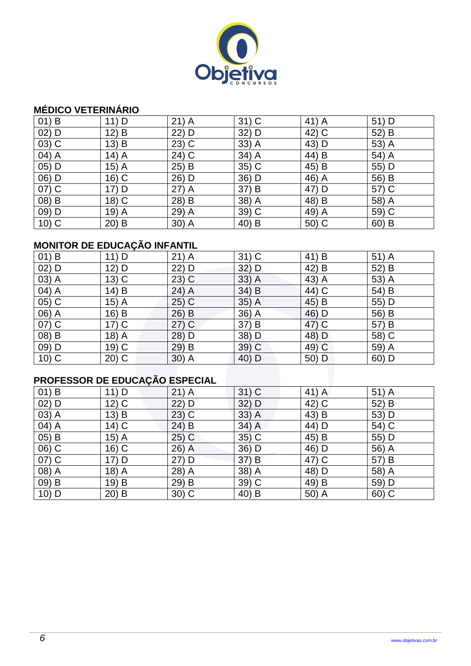

## **MÉDICO VETERINÁRIO**

| $01)$ B  | $11)$ D | $21)$ A | $31)$ C | 41) A | 51) D   |
|----------|---------|---------|---------|-------|---------|
| $02)$ D  | 12) B   | 22) D   | 32) D   | 42) C | 52) B   |
| $(03)$ C | 13) B   | $23)$ C | $33)$ A | 43) D | 53) A   |
| 04) A    | $14)$ A | 24) C   | 34) A   | 44) B | 54) A   |
| $05)$ D  | $15)$ A | $25)$ B | 35) C   | 45) B | 55) D   |
| $(06)$ D | $16)$ C | 26) D   | 36) D   | 46) A | 56) B   |
| 07) C    | $17)$ D | $27)$ A | 37) B   | 47) D | 57) C   |
| 08) B    | 18) C   | 28) B   | 38) A   | 48) B | 58) A   |
| 09) D    | $19)$ A | 29) A   | 39) C   | 49) A | 59) C   |
| $10)$ C  | $20)$ B | 30) A   | 40) B   | 50) C | $60)$ B |

# **MONITOR DE EDUCAÇÃO INFANTIL**

| $01)$ B | $11)$ D | $21)$ A | $31)$ C | 41) B | $51)$ A |
|---------|---------|---------|---------|-------|---------|
| $02)$ D | 12) D   | 22) D   | $32)$ D | 42) B | 52) B   |
| 03) A   | $13)$ C | $23)$ C | $33)$ A | 43) A | 53) A   |
| 04) A   | 14) B   | 24) A   | 34) B   | 44) C | 54) B   |
| 05) C   | $15)$ A | $25)$ C | 35) A   | 45) B | 55) D   |
| 06) A   | 16) B   | 26) B   | 36) A   | 46) D | 56) B   |
| 07) C   | $17)$ C | $27)$ C | 37) B   | 47) C | 57) B   |
| 08) B   | $18)$ A | 28) D   | 38) D   | 48) D | 58) C   |
| 09) D   | $19)$ C | 29) B   | $39)$ C | 49) C | 59) A   |
| $10)$ C | $20)$ C | $30)$ A | 40) D   | 50) D | 60) D   |

# **PROFESSOR DE EDUCAÇÃO ESPECIAL**

| $01)$ B | $11)$ D | $21)$ A             | $31)$ C | 41) A | 51) A |
|---------|---------|---------------------|---------|-------|-------|
| $02)$ D | $12)$ C | 22) D               | $32)$ D | 42) C | 52) B |
| 03) A   | 13) B   | $23)$ C             | $33)$ A | 43) B | 53) D |
| 04) A   | $14)$ C | $24)$ B             | $34)$ A | 44) D | 54) C |
| $05)$ B | $15)$ A | $25)$ C             | $35)$ C | 45) B | 55) D |
| 06) C   | 16) C   | 26)<br>$\mathsf{A}$ | 36) D   | 46) D | 56) A |
| $07)$ C | 17) D   | 27) D               | 37) B   | 47) C | 57) B |
| 08) A   | $18)$ A | 28) A               | 38) A   | 48) D | 58) A |
| 09) B   | 19) B   | 29)<br>B            | 39) C   | 49) B | 59) D |
| $10)$ D | $20)$ B | $30)$ C             | 40) B   | 50) A | 60) C |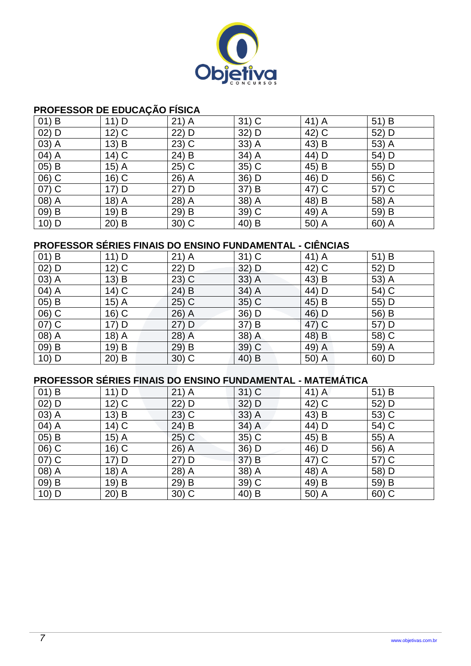

## **PROFESSOR DE EDUCAÇÃO FÍSICA**

| $01)$ B             | $11)$ D | $21)$ A             | $31)$ C | 41) A | 51) B |
|---------------------|---------|---------------------|---------|-------|-------|
| $02)$ D             | $12)$ C | 22) D               | 32) D   | 42) C | 52) D |
| 03) A               | 13) B   | $23)$ C             | $33)$ A | 43) B | 53) A |
| 04) A               | $14)$ C | 24) B               | 34) A   | 44) D | 54) D |
| 05) B               | $15)$ A | $25)$ C             | $35)$ C | 45) B | 55) D |
| 06) C               | 16) C   | 26)<br>$\mathsf{A}$ | 36) D   | 46) D | 56) C |
| $\overline{07}$ ) C | 17) D   | 27) D               | 37) B   | 47) C | 57) C |
| 08) A               | $18)$ A | 28) A               | 38) A   | 48) B | 58) A |
| 09) B               | 19) B   | B<br>29)            | 39) C   | 49) A | 59) B |
| $10)$ D             | $20)$ B | $30)$ C             | 40) B   | 50) A | 60) A |

## **PROFESSOR SÉRIES FINAIS DO ENSINO FUNDAMENTAL - CIÊNCIAS**

| $01)$ B             | 11) D   | $21)$ A               | $31)$ C | 41) A | 51) B |
|---------------------|---------|-----------------------|---------|-------|-------|
| $02)$ D             | $12)$ C | 22) D                 | $32)$ D | 42) C | 52) D |
| 03) A               | $13)$ B | $23)$ C               | $33)$ A | 43) B | 53) A |
| 04) A               | $14)$ C | 24) B                 | 34) A   | 44) D | 54) C |
| 05) B               | $15)$ A | 25) C                 | 35) C   | 45) B | 55) D |
| 06) C               | 16) C   | 26)<br>$\overline{A}$ | 36) D   | 46) D | 56) B |
| $\overline{07}$ ) C | 17) D   | $27)$ D               | 37) B   | 47) C | 57) D |
| 08) A               | $18)$ A | 28)<br>$\overline{A}$ | 38) A   | 48) B | 58) C |
| 09) B               | 19) B   | $29)$ B               | $39)$ C | 49) A | 59) A |
| $10)$ D             | $20)$ B | $30)$ C               | 40) B   | 50) A | 60) D |

## **PROFESSOR SÉRIES FINAIS DO ENSINO FUNDAMENTAL - MATEMÁTICA**

| $01)$ B  | $11)$ D | $21)$ A             | $31)$ C | 41) A | 51) B   |
|----------|---------|---------------------|---------|-------|---------|
| $02)$ D  | $12)$ C | 22) D               | 32) D   | 42) C | 52) D   |
| 03) A    | $13)$ B | $23)$ C             | $33)$ A | 43) B | 53) C   |
| 04) A    | $14)$ C | $24)$ B             | $34)$ A | 44) D | 54) C   |
| 05) B    | $15)$ A | $25)$ C             | $35)$ C | 45) B | 55) A   |
| $(06)$ C | 16) C   | $26)$ A             | 36) D   | 46) D | 56) A   |
| $07)$ C  | 17) D   | $27)$ D             | 37) B   | 47) C | 57) C   |
| 08) A    | 18) A   | 28)<br>$\mathsf{A}$ | 38) A   | 48) A | 58) D   |
| 09) B    | 19) B   | 29) B               | 39) C   | 49) B | 59) B   |
| $10)$ D  | $20)$ B | $30)$ C             | 40) B   | 50) A | $60)$ C |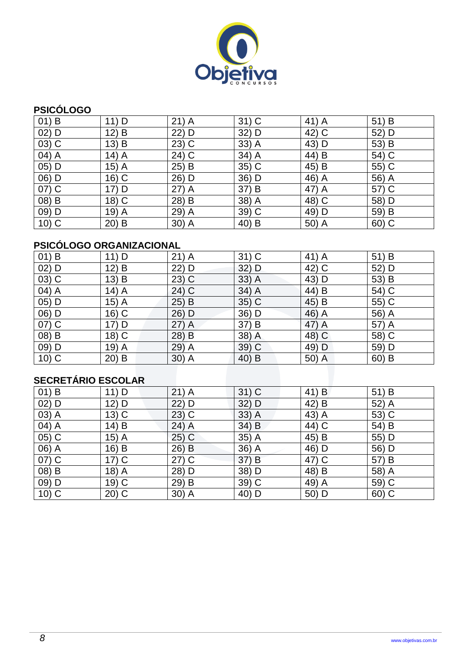

## **PSICÓLOGO**

| $01)$ B                         | $11)$ D | $21)$ A  | $31)$ C | 41) A | 51) B   |
|---------------------------------|---------|----------|---------|-------|---------|
| $02)$ D                         | 12) B   | 22) D    | 32) D   | 42) C | 52) D   |
| $(03)$ C                        | 13) B   | $23)$ C  | $33)$ A | 43) D | 53) B   |
| $\overline{04}$ $\overline{)A}$ | $14)$ A | 24) C    | 34) A   | 44) B | 54) C   |
| 05) D                           | $15)$ A | $25)$ B  | $35)$ C | 45) B | 55) C   |
| 06) D                           | $16)$ C | 26) D    | 36) D   | 46) A | 56) A   |
| 07) C                           | 17) D   | 27) A    | 37) B   | 47) A | 57) C   |
| 08) B                           | $18)$ C | B<br>28) | 38) A   | 48) C | 58) D   |
| 09) D                           | $19)$ A | 29) A    | 39) C   | 49) D | 59) B   |
| $10)$ C                         | $20)$ B | 30) A    | 40) B   | 50) A | $60)$ C |

# **PSICÓLOGO ORGANIZACIONAL**

| $01)$ B            | $11)$ D | $21)$ A | $31)$ C | 41) A    | 51) B   |  |  |
|--------------------|---------|---------|---------|----------|---------|--|--|
| $02)$ D            | 12) B   | 22) D   | $32)$ D | 42) C    | 52) D   |  |  |
| $03)$ C            | 13) B   | $23)$ C | $33)$ A | 43) D    | 53) B   |  |  |
| 04) A              | $14)$ A | 24) C   | 34) A   | $(44)$ B | 54) C   |  |  |
| 05) D              | 15) A   | $25)$ B | $35)$ C | 45) B    | 55) C   |  |  |
| 06) D              | $16)$ C | 26) D   | 36) D   | 46) A    | 56) A   |  |  |
| 07) C              | 17) D   | $27)$ A | 37) B   | 47) A    | 57) A   |  |  |
| 08) B              | 18) C   | 28) B   | 38) A   | 48) C    | 58) C   |  |  |
| 09) D              | 19) A   | 29) A   | $39)$ C | 49) D    | 59) D   |  |  |
| $10)$ C            | $20)$ B | $30)$ A | 40) B   | 50) A    | $60)$ B |  |  |
|                    |         |         |         |          |         |  |  |
| SECRETÁRIO ESCOLAR |         |         |         |          |         |  |  |

# **SECRETÁRIO ESCOLAR**

| $01)$ B | $11)$ D | $21)$ A  | $31)$ C | 41) B | 51) B |
|---------|---------|----------|---------|-------|-------|
| $02)$ D | 12) D   | $22)$ D  | $32)$ D | 42) B | 52) A |
| 03) A   | $13)$ C | $(23)$ C | $33)$ A | 43) A | 53) C |
| 04) A   | 14) B   | $24)$ A  | 34) B   | 44) C | 54) B |
| 05) C   | $15)$ A | $25)$ C  | $35)$ A | 45) B | 55) D |
| 06) A   | 16) B   | $26)$ B  | 36) A   | 46) D | 56) D |
| 07) C   | $17)$ C | $27)$ C  | 37) B   | 47) C | 57) B |
| 08) B   | $18)$ A | 28) D    | 38) D   | 48) B | 58) A |
| 09) D   | 19) C   | 29) B    | 39) C   | 49) A | 59) C |
| $10)$ C | $20)$ C | 30) A    | 40) D   | 50) D | 60) C |